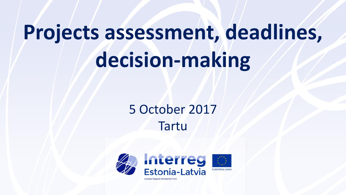# **Projects assessment, deadlines, decision-making**

# 5 October 2017 Tartu

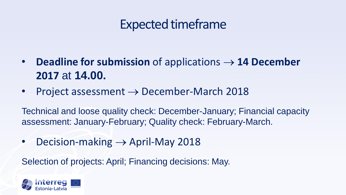# Expected timeframe

- **Deadline for submission** of applications **14 December 2017** at **14.00.**
- Project assessment  $\rightarrow$  December-March 2018

Technical and loose quality check: December-January; Financial capacity assessment: January-February; Quality check: February-March.

• Decision-making  $\rightarrow$  April-May 2018

Selection of projects: April; Financing decisions: May.

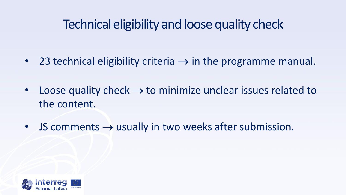### Technical eligibility and loose quality check

- 23 technical eligibility criteria  $\rightarrow$  in the programme manual.
- Loose quality check  $\rightarrow$  to minimize unclear issues related to the content.
- JS comments  $\rightarrow$  usually in two weeks after submission.

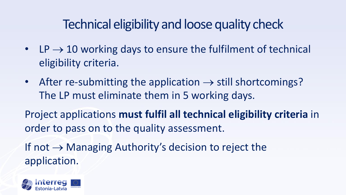# Technical eligibility and loose quality check

- LP  $\rightarrow$  10 working days to ensure the fulfilment of technical eligibility criteria.
- After re-submitting the application  $\rightarrow$  still shortcomings? The LP must eliminate them in 5 working days.

Project applications **must fulfil all technical eligibility criteria** in order to pass on to the quality assessment.

If not  $\rightarrow$  Managing Authority's decision to reject the application.

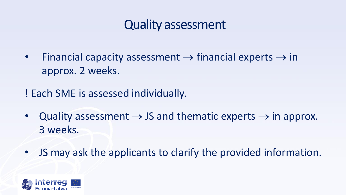#### Quality assessment

• Financial capacity assessment  $\rightarrow$  financial experts  $\rightarrow$  in approx. 2 weeks.

! Each SME is assessed individually.

- Quality assessment  $\rightarrow$  JS and thematic experts  $\rightarrow$  in approx. 3 weeks.
- JS may ask the applicants to clarify the provided information.

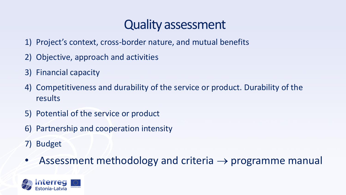#### Quality assessment

- 1) Project's context, cross-border nature, and mutual benefits
- 2) Objective, approach and activities
- 3) Financial capacity
- 4) Competitiveness and durability of the service or product. Durability of the results
- 5) Potential of the service or product
- 6) Partnership and cooperation intensity
- 7) Budget
- Assessment methodology and criteria  $\rightarrow$  programme manual

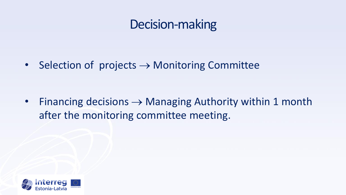### Decision-making

• Selection of projects  $\rightarrow$  Monitoring Committee

• Financing decisions  $\rightarrow$  Managing Authority within 1 month after the monitoring committee meeting.